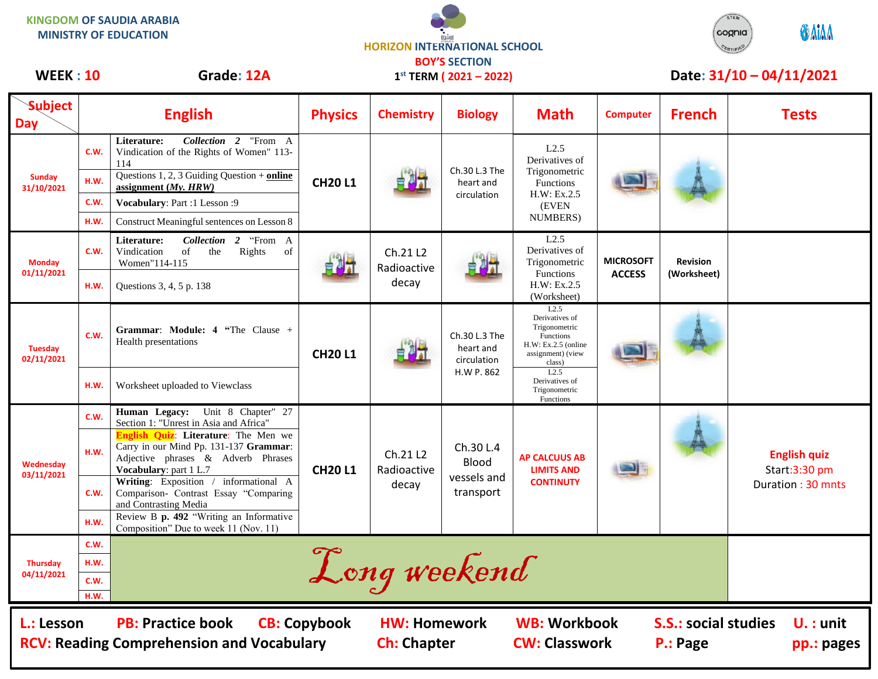**KINGDOM OF SAUDIA ARABIA MINISTRY OF EDUCATION**





| <b>Subject</b><br><b>Day</b>                                                                                      |              | <b>English</b>                                                                                                                                        | <b>Physics</b> | <b>Chemistry</b>                 | <b>Biology</b>                                                                           | <b>Math</b>                                                                                                  | <b>Computer</b>                                                      | <b>French</b>                  | <b>Tests</b>                                              |
|-------------------------------------------------------------------------------------------------------------------|--------------|-------------------------------------------------------------------------------------------------------------------------------------------------------|----------------|----------------------------------|------------------------------------------------------------------------------------------|--------------------------------------------------------------------------------------------------------------|----------------------------------------------------------------------|--------------------------------|-----------------------------------------------------------|
| <b>Sunday</b><br>31/10/2021                                                                                       | C.W.         | Collection 2 "From A<br>Literature:<br>Vindication of the Rights of Women" 113-<br>114                                                                | <b>CH20L1</b>  |                                  | Ch.30 L.3 The<br>heart and<br>circulation                                                | L2.5<br>Derivatives of<br>Trigonometric<br>Functions<br>H.W: Ex.2.5<br>(EVEN<br>NUMBERS)                     |                                                                      |                                |                                                           |
|                                                                                                                   | H.W.         | Questions 1, 2, 3 Guiding Question + online<br>assignment $(My, HRW)$                                                                                 |                |                                  |                                                                                          |                                                                                                              |                                                                      |                                |                                                           |
|                                                                                                                   | C.W.         | Vocabulary: Part :1 Lesson :9                                                                                                                         |                |                                  |                                                                                          |                                                                                                              |                                                                      |                                |                                                           |
|                                                                                                                   | H.W.         | Construct Meaningful sentences on Lesson 8                                                                                                            |                |                                  |                                                                                          |                                                                                                              |                                                                      |                                |                                                           |
| <b>Monday</b><br>01/11/2021                                                                                       | C.W.         | Collection 2 "From A<br>Literature:<br>Vindication<br>of<br>Rights<br>the<br>of<br>Women"114-115                                                      |                | Ch.21 L2<br>Radioactive<br>decay |                                                                                          | L2.5<br>Derivatives of<br>Trigonometric<br><b>Functions</b><br>H.W: Ex.2.5<br>(Worksheet)                    | <b>MICROSOFT</b><br><b>ACCESS</b>                                    | <b>Revision</b><br>(Worksheet) |                                                           |
|                                                                                                                   | H.W.         | Questions 3, 4, 5 p. 138                                                                                                                              |                |                                  |                                                                                          |                                                                                                              |                                                                      |                                |                                                           |
| <b>Tuesday</b><br>02/11/2021                                                                                      | C.W.         | <b>Grammar: Module: 4 "The Clause +</b><br>Health presentations                                                                                       | <b>CH20L1</b>  |                                  | Ch.30 L.3 The<br>heart and<br>circulation<br>H.W P. 862                                  | L2.5<br>Derivatives of<br>Trigonometric<br>Functions<br>$H.W: Ex.2.5$ (online<br>assignment) (view<br>class) |                                                                      |                                |                                                           |
|                                                                                                                   | H.W.         | Worksheet uploaded to Viewclass                                                                                                                       |                |                                  |                                                                                          | L2.5<br>Derivatives of<br>Trigonometric<br>Functions                                                         |                                                                      |                                |                                                           |
| Wednesday<br>03/11/2021                                                                                           | C.W.         | Human Legacy: Unit 8 Chapter" 27<br>Section 1: "Unrest in Asia and Africa"                                                                            | <b>CH20L1</b>  | Ch.21 L2<br>Radioactive<br>decay | Ch.30 L.4<br><b>Blood</b><br>vessels and<br>transport                                    | <b>AP CALCUUS AB</b><br><b>LIMITS AND</b><br><b>CONTINUTY</b>                                                |                                                                      |                                | <b>English quiz</b><br>Start:3:30 pm<br>Duration: 30 mnts |
|                                                                                                                   | H.W.         | <b>English Quiz: Literature:</b> The Men we<br>Carry in our Mind Pp. 131-137 Grammar:<br>Adjective phrases & Adverb Phrases<br>Vocabulary: part 1 L.7 |                |                                  |                                                                                          |                                                                                                              |                                                                      |                                |                                                           |
|                                                                                                                   | C.W.         | Writing: Exposition / informational A<br>Comparison- Contrast Essay "Comparing<br>and Contrasting Media                                               |                |                                  |                                                                                          |                                                                                                              |                                                                      |                                |                                                           |
|                                                                                                                   | H.W.         | Review B p. 492 "Writing an Informative<br>Composition" Due to week 11 (Nov. 11)                                                                      |                |                                  |                                                                                          |                                                                                                              |                                                                      |                                |                                                           |
|                                                                                                                   | C.W.         |                                                                                                                                                       |                |                                  |                                                                                          |                                                                                                              |                                                                      |                                |                                                           |
| Thursday                                                                                                          | H.W.         |                                                                                                                                                       |                | Long weekend                     |                                                                                          |                                                                                                              |                                                                      |                                |                                                           |
| 04/11/2021                                                                                                        | C.W.<br>H.W. |                                                                                                                                                       |                |                                  |                                                                                          |                                                                                                              |                                                                      |                                |                                                           |
| <b>PB: Practice book</b><br><b>CB: Copybook</b><br>L.: Lesson<br><b>RCV: Reading Comprehension and Vocabulary</b> |              |                                                                                                                                                       |                |                                  | <b>WB: Workbook</b><br><b>HW: Homework</b><br><b>Ch: Chapter</b><br><b>CW: Classwork</b> |                                                                                                              | <b>S.S.: social studies</b><br>$U.$ : unit<br>P.: Page<br>pp.: pages |                                |                                                           |